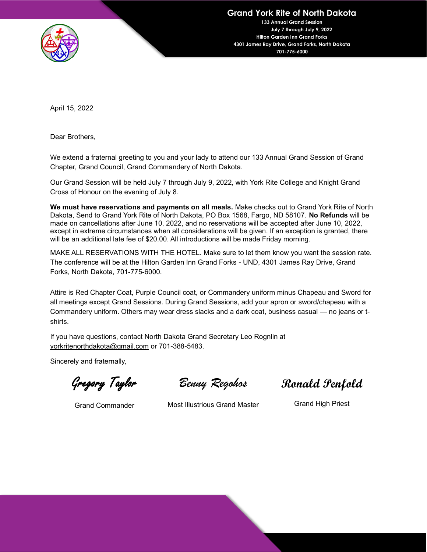

**Grand York Rite of North Dakota**

**133 Annual Grand Session July 7 through July 9, 2022 Hilton Garden Inn Grand Forks 4301 James Ray Drive, Grand Forks, North Dakota 701-775-6000**

April 15, 2022

Dear Brothers,

We extend a fraternal greeting to you and your lady to attend our 133 Annual Grand Session of Grand Chapter, Grand Council, Grand Commandery of North Dakota.

Our Grand Session will be held July 7 through July 9, 2022, with York Rite College and Knight Grand Cross of Honour on the evening of July 8.

**We must have reservations and payments on all meals.** Make checks out to Grand York Rite of North Dakota, Send to Grand York Rite of North Dakota, PO Box 1568, Fargo, ND 58107. **No Refunds** will be made on cancellations after June 10, 2022, and no reservations will be accepted after June 10, 2022, except in extreme circumstances when all considerations will be given. If an exception is granted, there will be an additional late fee of \$20.00. All introductions will be made Friday morning.

MAKE ALL RESERVATIONS WITH THE HOTEL. Make sure to let them know you want the session rate. The conference will be at the Hilton Garden Inn Grand Forks - UND, 4301 James Ray Drive, Grand Forks, North Dakota, 701-775-6000.

Attire is Red Chapter Coat, Purple Council coat, or Commandery uniform minus Chapeau and Sword for all meetings except Grand Sessions. During Grand Sessions, add your apron or sword/chapeau with a [Commandery uniform. Others ma](mailto:yorkritenorthdakota@gmail.com)y wear dress slacks and a dark coat, business casual — no jeans or tshirts.

If you have questions, contact North Dakota Grand Secretary Leo Rognlin at yorkritenorthdakota@gmail.com or 701-388-5483.

Sincerely and fraternally,

Gregory Taylor

Grand Commander

*Benny Regohos*

**Ronald Penfold**

Most Illustrious Grand Master

Grand High Priest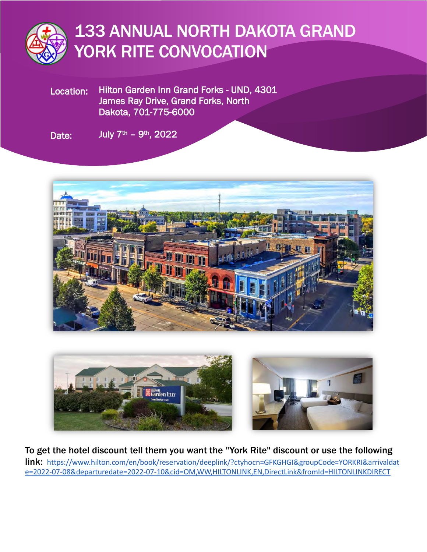

# 133 ANNUAL NORTH DAKOTA GRAND YORK RITE CONVOCATION

Location: Hilton Garden Inn Grand Forks - UND, 4301 James Ray Drive, Grand Forks, North Dakota, 701-775-6000

Date: July  $7<sup>th</sup> - 9<sup>th</sup>$ , 2022





To get the hotel discount tell them you want the "York Rite" discount or use the following link: [https://www.hilton.com/en/book/reservation/deeplink/?ctyhocn=GFKGHGI&groupCode=YORKRI&arrivaldat](https://www.hilton.com/en/book/reservation/deeplink/?ctyhocn=GFKGHGI&groupCode=YORKRI&arrivaldate=2022-07-08&departuredate=2022-07-10&cid=OM,WW,HILTONLINK,EN,DirectLink&fromId=HILTONLINKDIRECT) [e=2022-07-08&departuredate=2022-07-10&cid=OM,WW,HILTONLINK,EN,DirectLink&fromId=HILTONLINKDIRECT](https://www.hilton.com/en/book/reservation/deeplink/?ctyhocn=GFKGHGI&groupCode=YORKRI&arrivaldate=2022-07-08&departuredate=2022-07-10&cid=OM,WW,HILTONLINK,EN,DirectLink&fromId=HILTONLINKDIRECT)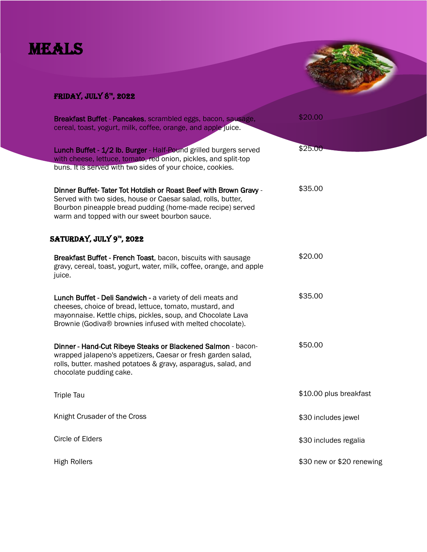### MEALS



#### FRIDAY, JULY  $8^{\pi}$ , 2022

| Breakfast Buffet - Pancakes, scrambled eggs, bacon, sausage,<br>cereal, toast, yogurt, milk, coffee, orange, and apple juice.                                                                                                                     | \$20.00                   |
|---------------------------------------------------------------------------------------------------------------------------------------------------------------------------------------------------------------------------------------------------|---------------------------|
| Lunch Buffet - 1/2 lb. Burger - Half-Pound grilled burgers served<br>with cheese, lettuce, tomato, red onion, pickles, and split-top<br>buns. It is served with two sides of your choice, cookies.                                                | \$25.00                   |
| Dinner Buffet-Tater Tot Hotdish or Roast Beef with Brown Gravy -<br>Served with two sides, house or Caesar salad, rolls, butter,<br>Bourbon pineapple bread pudding (home-made recipe) served<br>warm and topped with our sweet bourbon sauce.    | \$35.00                   |
| SATURDAY, JULY 9 <sup>TH</sup> , 2022                                                                                                                                                                                                             |                           |
| Breakfast Buffet - French Toast, bacon, biscuits with sausage<br>gravy, cereal, toast, yogurt, water, milk, coffee, orange, and apple<br>juice.                                                                                                   | \$20.00                   |
| Lunch Buffet - Deli Sandwich - a variety of deli meats and<br>cheeses, choice of bread, lettuce, tomato, mustard, and<br>mayonnaise. Kettle chips, pickles, soup, and Chocolate Lava<br>Brownie (Godiva® brownies infused with melted chocolate). | \$35.00                   |
| Dinner - Hand-Cut Ribeye Steaks or Blackened Salmon - bacon-<br>wrapped jalapeno's appetizers, Caesar or fresh garden salad,<br>rolls, butter. mashed potatoes & gravy, asparagus, salad, and<br>chocolate pudding cake.                          | \$50.00                   |
| <b>Triple Tau</b>                                                                                                                                                                                                                                 | \$10.00 plus breakfast    |
| Knight Crusader of the Cross                                                                                                                                                                                                                      | \$30 includes jewel       |
| Circle of Elders                                                                                                                                                                                                                                  | \$30 includes regalia     |
| <b>High Rollers</b>                                                                                                                                                                                                                               | \$30 new or \$20 renewing |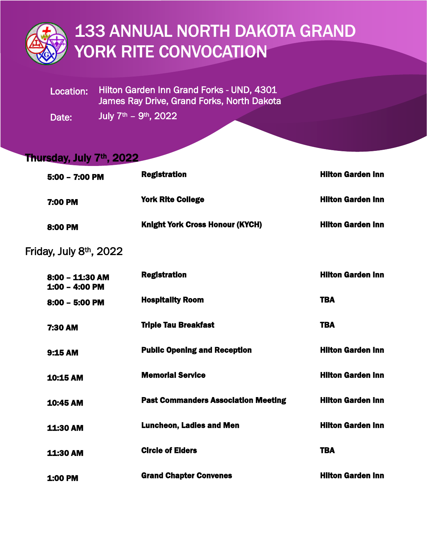

## 133 ANNUAL NORTH DAKOTA GRAND YORK RITE CONVOCATION

Location: Hilton Garden Inn Grand Forks - UND, 4301 James Ray Drive, Grand Forks, North Dakota

Date: July  $7<sup>th</sup> - 9<sup>th</sup>$ , 2022

### Thursday, July 7<sup>th</sup>, 2022

| $5:00 - 7:00$ PM                    | <b>Registration</b>                        | <b>Hilton Garden Inn</b> |
|-------------------------------------|--------------------------------------------|--------------------------|
| 7:00 PM                             | <b>York Rite College</b>                   | <b>Hilton Garden Inn</b> |
| 8:00 PM                             | <b>Knight York Cross Honour (KYCH)</b>     | <b>Hilton Garden Inn</b> |
| Friday, July 8th, 2022              |                                            |                          |
| $8:00 - 11:30$ AM<br>1:00 - 4:00 PM | <b>Registration</b>                        | <b>Hilton Garden Inn</b> |
| 8:00 - 5:00 PM                      | <b>Hospitality Room</b>                    | <b>TBA</b>               |
| 7:30 AM                             | <b>Triple Tau Breakfast</b>                | <b>TBA</b>               |
| 9:15 AM                             | <b>Public Opening and Reception</b>        | <b>Hilton Garden Inn</b> |
| 10:15 AM                            | <b>Memorial Service</b>                    | <b>Hilton Garden Inn</b> |
| 10:45 AM                            | <b>Past Commanders Association Meeting</b> | <b>Hilton Garden Inn</b> |
| 11:30 AM                            | <b>Luncheon, Ladies and Men</b>            | <b>Hilton Garden Inn</b> |
| 11:30 AM                            | <b>Circle of Elders</b>                    | <b>TBA</b>               |
| 1:00 PM                             | <b>Grand Chapter Convenes</b>              | <b>Hilton Garden Inn</b> |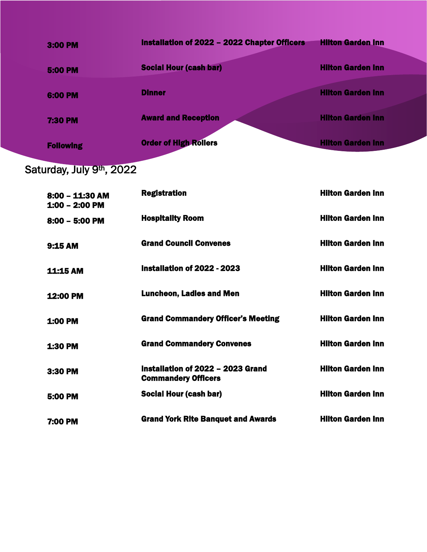| 3:00 PM          | Installation of 2022 - 2022 Chapter Officers | <b>Hilton Garden Inn</b> |
|------------------|----------------------------------------------|--------------------------|
| <b>5:00 PM</b>   | <b>Social Hour (cash bar)</b>                | <b>Hilton Garden Inn</b> |
| 6:00 PM          | <b>Dinner</b>                                | <b>Hilton Garden Inn</b> |
| <b>7:30 PM</b>   | <b>Award and Reception</b>                   | <b>Hilton Garden Inn</b> |
| <b>Following</b> | <b>Order of High Rollers</b>                 | <b>Hilton Garden Inn</b> |

Saturday, July 9<sup>th</sup>, 2022

| $8:00 - 11:30$ AM<br>1:00 - 2:00 PM | <b>Registration</b>                                             | <b>Hilton Garden Inn</b> |
|-------------------------------------|-----------------------------------------------------------------|--------------------------|
| $8:00 - 5:00$ PM                    | <b>Hospitality Room</b>                                         | <b>Hilton Garden Inn</b> |
| 9:15AM                              | <b>Grand Council Convenes</b>                                   | <b>Hilton Garden Inn</b> |
| <b>11:15 AM</b>                     | Installation of 2022 - 2023                                     | <b>Hilton Garden Inn</b> |
| 12:00 PM                            | <b>Luncheon, Ladies and Men</b>                                 | <b>Hilton Garden Inn</b> |
| <b>1:00 PM</b>                      | <b>Grand Commandery Officer's Meeting</b>                       | <b>Hilton Garden Inn</b> |
| <b>1:30 PM</b>                      | <b>Grand Commandery Convenes</b>                                | <b>Hilton Garden Inn</b> |
| 3:30 PM                             | Installation of 2022 - 2023 Grand<br><b>Commandery Officers</b> | <b>Hilton Garden Inn</b> |
| 5:00 PM                             | Social Hour (cash bar)                                          | <b>Hilton Garden Inn</b> |
| 7:00 PM                             | <b>Grand York Rite Banquet and Awards</b>                       | <b>Hilton Garden Inn</b> |